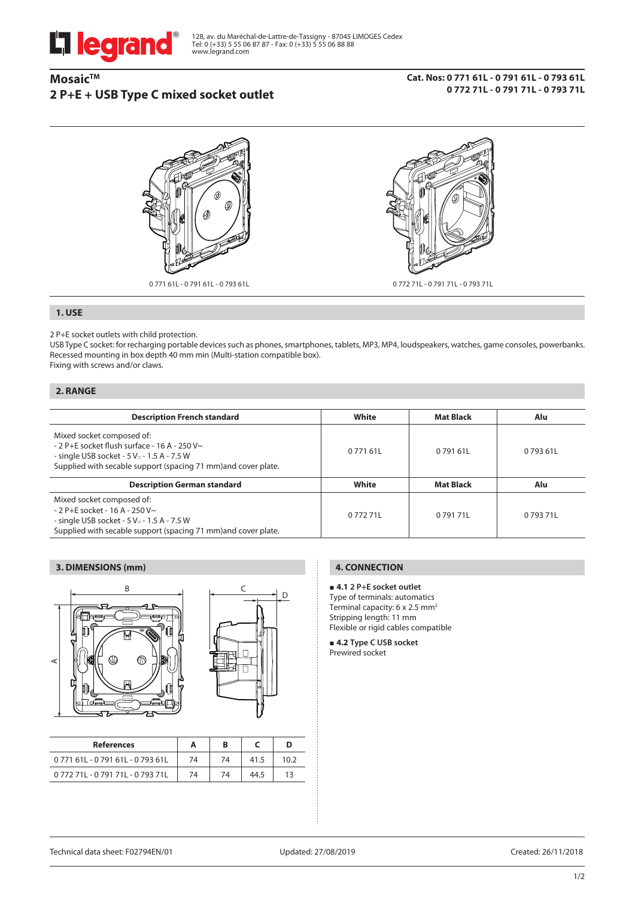

128, av. du Maréchal-de-Lattre-de-Tassigny - 87045 LIMOGES Cedex Tel: 0 (+33) 5 55 06 87 87 - Fax: 0 (+33) 5 55 06 88 88 www.legrand.com

# **Mosaic™ 2 P+E + USB Type C mixed socket outlet**

#### **Cat. Nos: 0 771 61L - 0 791 61L - 0 793 61L 0 772 71L - 0 791 71L - 0 793 71L**



## **1. USE**

2 P+E socket outlets with child protection.

USB Type C socket: for recharging portable devices such as phones, smartphones, tablets, MP3, MP4, loudspeakers, watches, game consoles, powerbanks. Recessed mounting in box depth 40 mm min (Multi-station compatible box). Fixing with screws and/or claws.

#### **2. RANGE**

| <b>Description French standard</b>                                                                                                                                                                | White   | <b>Mat Black</b> | Alu       |
|---------------------------------------------------------------------------------------------------------------------------------------------------------------------------------------------------|---------|------------------|-----------|
| Mixed socket composed of:<br>$-2$ P+E socket flush surface - 16 A - 250 V $\sim$<br>- single USB socket - 5 V = - 1.5 A - 7.5 W<br>Supplied with secable support (spacing 71 mm) and cover plate. | 077161L | 0.791.611        | 0.793.611 |
| <b>Description German standard</b>                                                                                                                                                                | White   | <b>Mat Black</b> | Alu       |
| Mixed socket composed of:<br>$-2$ P+E socket - 16 A - 250 V $\sim$<br>- single USB socket - 5 V = - 1.5 A - 7.5 W<br>Supplied with secable support (spacing 71 mm) and cover plate.               | 077271L | 079171L          | 079371L   |

# **3. DIMENSIONS (mm)**





| <b>References</b>       |    |    |      |  |
|-------------------------|----|----|------|--|
| 077161L-079161L-079361L | 74 | 74 |      |  |
| 077271L-079171L-079371L | 74 | 74 | 44.5 |  |

# **4. CONNECTION**

#### **4.1 2 P+E socket outlet**

Type of terminals: automatics Terminal capacity:  $6 \times 2.5$  mm<sup>2</sup> Stripping length: 11 mm Flexible or rigid cables compatible

 **4.2 Type C USB socket**  Prewired socket